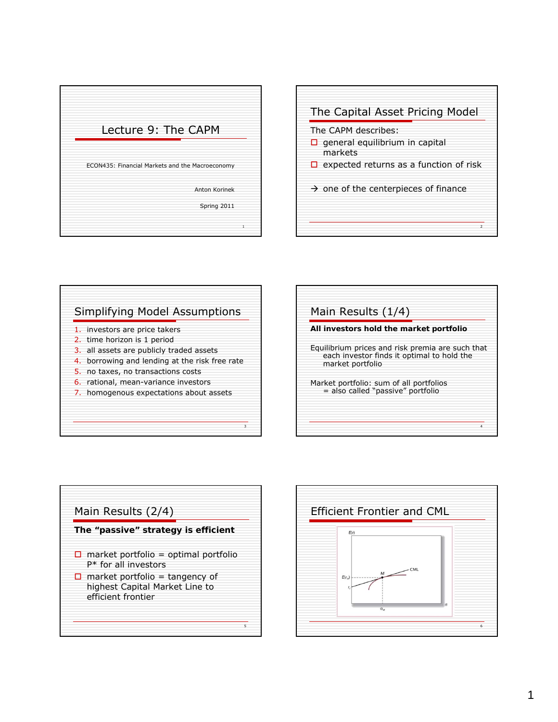









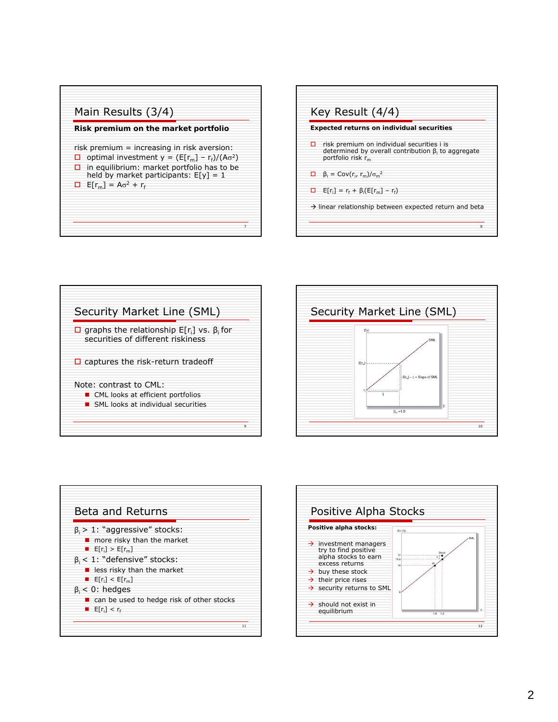